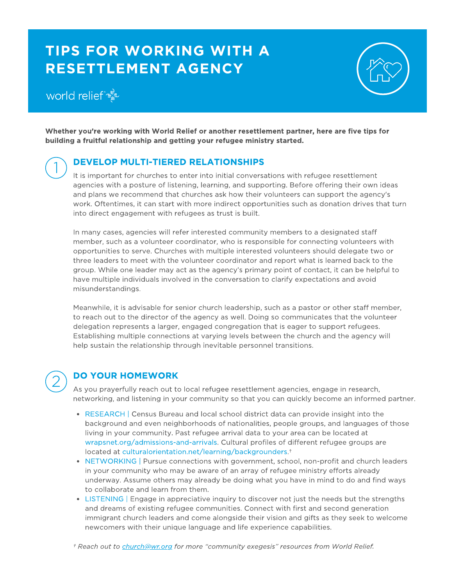## TIPS FOR WORKING WITH A RESETTLEMENT AGENCY

## world relief

1



Whether you're working with World Relief or another resettlement partner, here are five tips for building a fruitful relationship and getting your refugee ministry started.

### DEVELOP MULTI-TIERED RELATIONSHIPS

It is important for churches to enter into initial conversations with refugee resettlement agencies with a posture of listening, learning, and supporting. Before offering their own ideas and plans we recommend that churches ask how their volunteers can support the agency's work. Oftentimes, it can start with more indirect opportunities such as donation drives that turn into direct engagement with refugees as trust is built.

In many cases, agencies will refer interested community members to a designated staff member, such as a volunteer coordinator, who is responsible for connecting volunteers with opportunities to serve. Churches with multiple interested volunteers should delegate two or three leaders to meet with the volunteer coordinator and report what is learned back to the group. While one leader may act as the agency's primary point of contact, it can be helpful to have multiple individuals involved in the conversation to clarify expectations and avoid misunderstandings.

Meanwhile, it is advisable for senior church leadership, such as a pastor or other staff member, to reach out to the director of the agency as well. Doing so communicates that the volunteer delegation represents a larger, engaged congregation that is eager to support refugees. Establishing multiple connections at varying levels between the church and the agency will help sustain the relationship through inevitable personnel transitions.

# 2

### DO YOUR HOMEWORK

As you prayerfully reach out to local refugee resettlement agencies, engage in research, networking, and listening in your community so that you can quickly become an informed partner.

- RESEARCH | Census Bureau and local school district data can provide insight into the background and even neighborhoods of nationalities, people groups, and languages of those living in your community. Past refugee arrival data to your area can be located at [wrapsnet.org/admissions-and-arrivals.](https://www.wrapsnet.org/admissions-and-arrivals/) Cultural profiles of different refugee groups are located at [culturalorientation.net/learning/backgrounders](http://www.culturalorientation.net/learning/backgrounders).†
- NETWORKING | Pursue connections with government, school, non-profit and church leaders in your community who may be aware of an array of refugee ministry efforts already underway. Assume others may already be doing what you have in mind to do and find ways to collaborate and learn from them.
- LISTENING | Engage in appreciative inquiry to discover not just the needs but the strengths and dreams of existing refugee communities. Connect with first and second generation immigrant church leaders and come alongside their vision and gifts as they seek to welcome newcomers with their unique language and life experience capabilities.

† Reach out to [church@wr.org](mailto:church@wr.org) for more "community exegesis" resources from World Relief.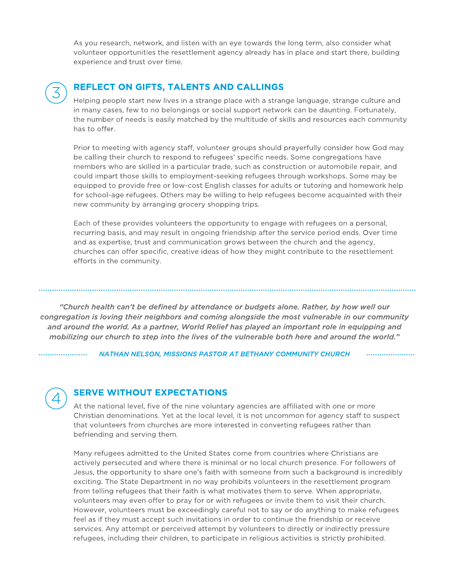As you research, network, and listen with an eye towards the long term, also consider what volunteer opportunities the resettlement agency already has in place and start there, building experience and trust over time.



#### REFLECT ON GIFTS, TALENTS AND CALLINGS

Helping people start new lives in a strange place with a strange language, strange culture and in many cases, few to no belongings or social support network can be daunting. Fortunately, the number of needs is easily matched by the multitude of skills and resources each community has to offer.

Prior to meeting with agency staff, volunteer groups should prayerfully consider how God may be calling their church to respond to refugees' specific needs. Some congregations have members who are skilled in a particular trade, such as construction or automobile repair, and could impart those skills to employment-seeking refugees through workshops. Some may be equipped to provide free or low-cost English classes for adults or tutoring and homework help for school-age refugees. Others may be willing to help refugees become acquainted with their new community by arranging grocery shopping trips.

Each of these provides volunteers the opportunity to engage with refugees on a personal, recurring basis, and may result in ongoing friendship after the service period ends. Over time and as expertise, trust and communication grows between the church and the agency, churches can offer specific, creative ideas of how they might contribute to the resettlement efforts in the community.

"Church health can't be defined by attendance or budgets alone. Rather, by how well our congregation is loving their neighbors and coming alongside the most vulnerable in our community and around the world. As a partner, World Relief has played an important role in equipping and mobilizing our church to step into the lives of the vulnerable both here and around the world."

NATHAN NELSON, MISSIONS PASTOR AT BETHANY COMMUNITY CHURCH



. . . . . . . . . . . . . . . . . .

#### SERVE WITHOUT EXPECTATIONS

At the national level, five of the nine voluntary agencies are affiliated with one or more Christian denominations. Yet at the local level, it is not uncommon for agency staff to suspect that volunteers from churches are more interested in converting refugees rather than befriending and serving them.

Many refugees admitted to the United States come from countries where Christians are actively persecuted and where there is minimal or no local church presence. For followers of Jesus, the opportunity to share one's faith with someone from such a background is incredibly exciting. The State Department in no way prohibits volunteers in the resettlement program from telling refugees that their faith is what motivates them to serve. When appropriate, volunteers may even offer to pray for or with refugees or invite them to visit their church. However, volunteers must be exceedingly careful not to say or do anything to make refugees feel as if they must accept such invitations in order to continue the friendship or receive services. Any attempt or perceived attempt by volunteers to directly or indirectly pressure refugees, including their children, to participate in religious activities is strictly prohibited.